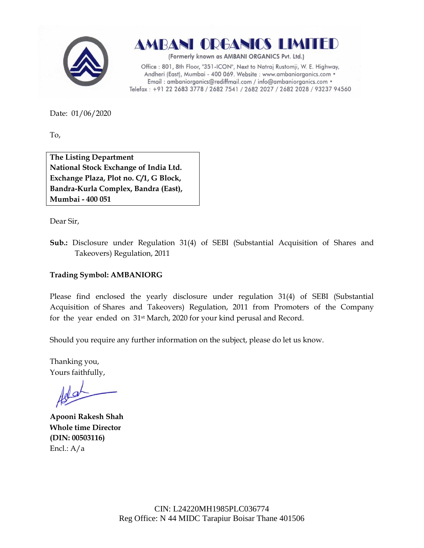



(Formerly known as AMBANI ORGANICS Pvt. Ltd.)

Office: 801, 8th Floor, "351-ICON", Next to Natraj Rustomji, W. E. Highway, Andheri (East), Mumbai - 400 069. Website : www.ambaniorganics.com • Email: ambaniorganics@rediffmail.com / info@ambaniorganics.com . Telefax: +91 22 2683 3778 / 2682 7541 / 2682 2027 / 2682 2028 / 93237 94560

Date: 01/06/2020

To,

**The Listing Department National Stock Exchange of India Ltd. Exchange Plaza, Plot no. C/1, G Block, Bandra-Kurla Complex, Bandra (East), Mumbai - 400 051**

Dear Sir,

**Sub.:** Disclosure under Regulation 31(4) of SEBI (Substantial Acquisition of Shares and Takeovers) Regulation, 2011

### **Trading Symbol: AMBANIORG**

Please find enclosed the yearly disclosure under regulation 31(4) of SEBI (Substantial Acquisition of Shares and Takeovers) Regulation, 2011 from Promoters of the Company for the year ended on 31st March, 2020 for your kind perusal and Record.

Should you require any further information on the subject, please do let us know.

Thanking you, Yours faithfully,

**Apooni Rakesh Shah Whole time Director (DIN: [00503116\)](http://www.mca.gov.in/mcafoportal/companyLLPMasterData.do)** Encl.: A/a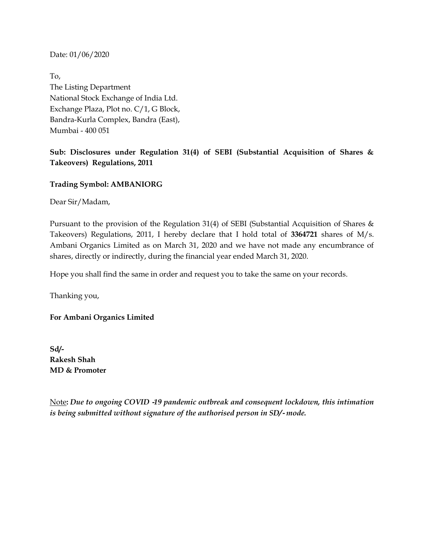To, The Listing Department National Stock Exchange of India Ltd. Exchange Plaza, Plot no. C/1, G Block, Bandra-Kurla Complex, Bandra (East), Mumbai - 400 051

# **Sub: Disclosures under Regulation 31(4) of SEBI (Substantial Acquisition of Shares & Takeovers) Regulations, 2011**

## **Trading Symbol: AMBANIORG**

Dear Sir/Madam,

Pursuant to the provision of the Regulation 31(4) of SEBI (Substantial Acquisition of Shares & Takeovers) Regulations, 2011, I hereby declare that I hold total of **3364721** shares of M/s. Ambani Organics Limited as on March 31, 2020 and we have not made any encumbrance of shares, directly or indirectly, during the financial year ended March 31, 2020.

Hope you shall find the same in order and request you to take the same on your records.

Thanking you,

**For Ambani Organics Limited**

**Sd/- Rakesh Shah MD & Promoter**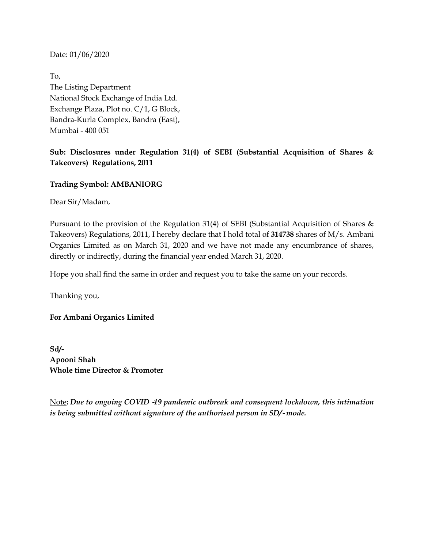To, The Listing Department National Stock Exchange of India Ltd. Exchange Plaza, Plot no. C/1, G Block, Bandra-Kurla Complex, Bandra (East), Mumbai - 400 051

# **Sub: Disclosures under Regulation 31(4) of SEBI (Substantial Acquisition of Shares & Takeovers) Regulations, 2011**

## **Trading Symbol: AMBANIORG**

Dear Sir/Madam,

Pursuant to the provision of the Regulation 31(4) of SEBI (Substantial Acquisition of Shares & Takeovers) Regulations, 2011, I hereby declare that I hold total of **314738** shares of M/s. Ambani Organics Limited as on March 31, 2020 and we have not made any encumbrance of shares, directly or indirectly, during the financial year ended March 31, 2020.

Hope you shall find the same in order and request you to take the same on your records.

Thanking you,

### **For Ambani Organics Limited**

**Sd/- Apooni Shah Whole time Director & Promoter**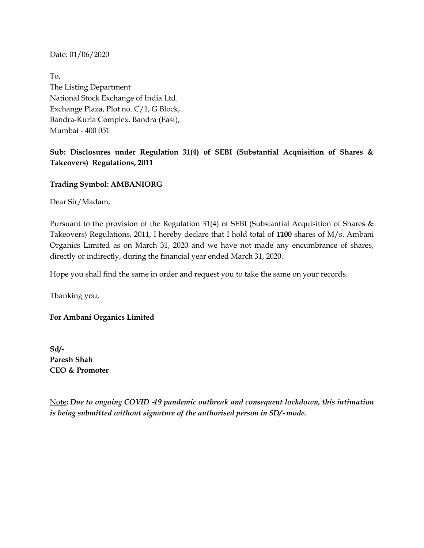To, The Listing Department National Stock Exchange of India Ltd. Exchange Plaza, Plot no. C/1, G Block, Bandra-Kurla Complex, Bandra (East), Mumbai - 400 051

# **Sub: Disclosures under Regulation 31(4) of SEBI (Substantial Acquisition of Shares & Takeovers) Regulations, 2011**

## **Trading Symbol: AMBANIORG**

Dear Sir/Madam,

Pursuant to the provision of the Regulation 31(4) of SEBI (Substantial Acquisition of Shares & Takeovers) Regulations, 2011, I hereby declare that I hold total of **1100** shares of M/s. Ambani Organics Limited as on March 31, 2020 and we have not made any encumbrance of shares, directly or indirectly, during the financial year ended March 31, 2020.

Hope you shall find the same in order and request you to take the same on your records.

Thanking you,

**For Ambani Organics Limited**

**Sd/- Paresh Shah CEO & Promoter**